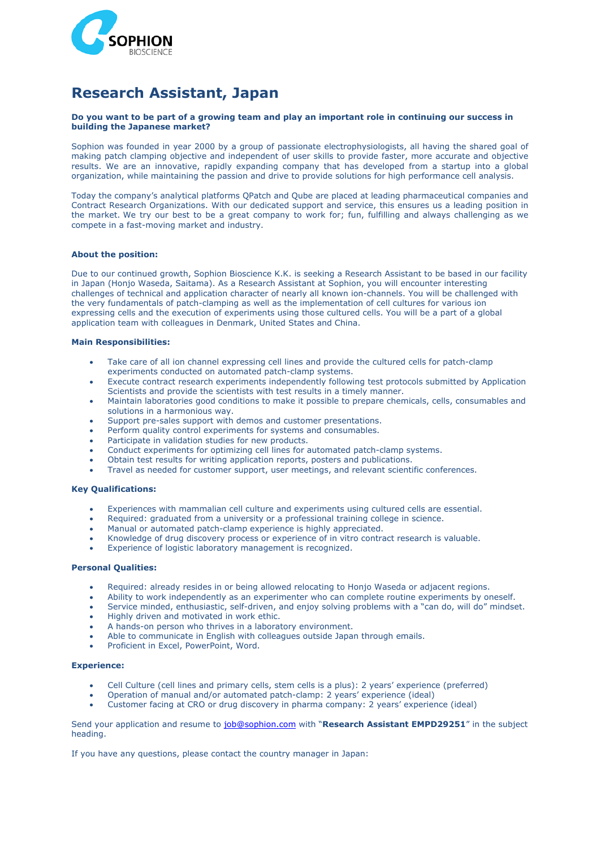

# **Research Assistant, Japan**

### **Do you want to be part of a growing team and play an important role in continuing our success in building the Japanese market?**

Sophion was founded in year 2000 by a group of passionate electrophysiologists, all having the shared goal of making patch clamping objective and independent of user skills to provide faster, more accurate and objective results. We are an innovative, rapidly expanding company that has developed from a startup into a global organization, while maintaining the passion and drive to provide solutions for high performance cell analysis.

Today the company's analytical platforms QPatch and Qube are placed at leading pharmaceutical companies and Contract Research Organizations. With our dedicated support and service, this ensures us a leading position in the market. We try our best to be a great company to work for; fun, fulfilling and always challenging as we compete in a fast-moving market and industry.

### **About the position:**

Due to our continued growth, Sophion Bioscience K.K. is seeking a Research Assistant to be based in our facility in Japan (Honjo Waseda, Saitama). As a Research Assistant at Sophion, you will encounter interesting challenges of technical and application character of nearly all known ion-channels. You will be challenged with the very fundamentals of patch-clamping as well as the implementation of cell cultures for various ion expressing cells and the execution of experiments using those cultured cells. You will be a part of a global application team with colleagues in Denmark, United States and China.

### **Main Responsibilities:**

- Take care of all ion channel expressing cell lines and provide the cultured cells for patch-clamp experiments conducted on automated patch-clamp systems.
- Execute contract research experiments independently following test protocols submitted by Application Scientists and provide the scientists with test results in a timely manner.
- Maintain laboratories good conditions to make it possible to prepare chemicals, cells, consumables and solutions in a harmonious way.
- Support pre-sales support with demos and customer presentations.
- Perform quality control experiments for systems and consumables.
- Participate in validation studies for new products.
- Conduct experiments for optimizing cell lines for automated patch-clamp systems.
- Obtain test results for writing application reports, posters and publications.
- Travel as needed for customer support, user meetings, and relevant scientific conferences.

## **Key Qualifications:**

- Experiences with mammalian cell culture and experiments using cultured cells are essential.
- Required: graduated from a university or a professional training college in science.
- Manual or automated patch-clamp experience is highly appreciated.
- Knowledge of drug discovery process or experience of in vitro contract research is valuable.
- Experience of logistic laboratory management is recognized.

#### **Personal Qualities:**

- Required: already resides in or being allowed relocating to Honjo Waseda or adjacent regions.
- Ability to work independently as an experimenter who can complete routine experiments by oneself.
- Service minded, enthusiastic, self-driven, and enjoy solving problems with a "can do, will do" mindset.
- Highly driven and motivated in work ethic.
- A hands-on person who thrives in a laboratory environment.
- Able to communicate in English with colleagues outside Japan through emails.
- Proficient in Excel, PowerPoint, Word.

### **Experience:**

- Cell Culture (cell lines and primary cells, stem cells is a plus): 2 years' experience (preferred)
- Operation of manual and/or automated patch-clamp: 2 years' experience (ideal)
- Customer facing at CRO or drug discovery in pharma company: 2 years' experience (ideal)

Send your application and resume to [job@sophion.com](mailto:job@sophion.com) with "**Research Assistant EMPD29251**" in the subject heading.

If you have any questions, please contact the country manager in Japan: